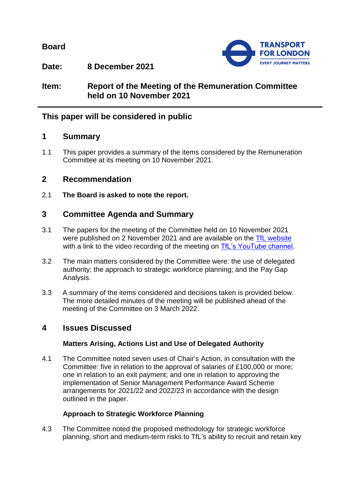**Board**



**Date: 8 December 2021**

**Item: Report of the Meeting of the Remuneration Committee held on 10 November 2021**

# **This paper will be considered in public**

### **1 Summary**

1.1 This paper provides a summary of the items considered by the Remuneration Committee at its meeting on 10 November 2021.

# **2 Recommendation**

2.1 **The Board is asked to note the report.**

# **3 Committee Agenda and Summary**

- 3.1 The papers for the meeting of the Committee held on 10 November 2021 were published on 2 November 2021 and are available on the [TfL website](https://board.tfl.gov.uk/uuCoverPage.aspx?bcr=1) with a link to the video recording of the meeting on [TfL's YouTube channel.](https://www.youtube.com/playlist?list=PLtnlusA0Zoggk4qvN68OcnD9k_7B8cY_d)
- 3.2 The main matters considered by the Committee were: the use of delegated authority; the approach to strategic workforce planning; and the Pay Gap Analysis.
- 3.3 A summary of the items considered and decisions taken is provided below. The more detailed minutes of the meeting will be published ahead of the meeting of the Committee on 3 March 2022.

## **4 Issues Discussed**

### **Matters Arising, Actions List and Use of Delegated Authority**

4.1 The Committee noted seven uses of Chair's Action, in consultation with the Committee: five in relation to the approval of salaries of £100,000 or more; one in relation to an exit payment; and one in relation to approving the implementation of Senior Management Performance Award Scheme arrangements for 2021/22 and 2022/23 in accordance with the design outlined in the paper.

## **Approach to Strategic Workforce Planning**

4.3 The Committee noted the proposed methodology for strategic workforce planning, short and medium-term risks to TfL's ability to recruit and retain key